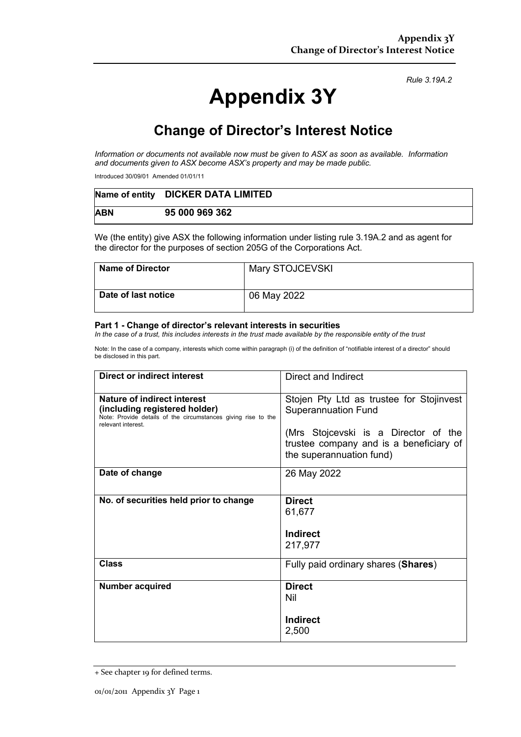# **Appendix 3Y**

*Rule 3.19A.2*

## **Change of Director's Interest Notice**

*Information or documents not available now must be given to ASX as soon as available. Information and documents given to ASX become ASX's property and may be made public.*

Introduced 30/09/01 Amended 01/01/11

|            | Name of entity DICKER DATA LIMITED |
|------------|------------------------------------|
| <b>ABN</b> | 95 000 969 362                     |

We (the entity) give ASX the following information under listing rule 3.19A.2 and as agent for the director for the purposes of section 205G of the Corporations Act.

| <b>Name of Director</b> | Mary STOJCEVSKI |
|-------------------------|-----------------|
| Date of last notice     | 06 May 2022     |

#### **Part 1 - Change of director's relevant interests in securities**

*In the case of a trust, this includes interests in the trust made available by the responsible entity of the trust*

Note: In the case of a company, interests which come within paragraph (i) of the definition of "notifiable interest of a director" should be disclosed in this part.

| <b>Direct or indirect interest</b>                                                                                                                  | Direct and Indirect                                                                                         |  |
|-----------------------------------------------------------------------------------------------------------------------------------------------------|-------------------------------------------------------------------------------------------------------------|--|
| Nature of indirect interest<br>(including registered holder)<br>Note: Provide details of the circumstances giving rise to the<br>relevant interest. | Stojen Pty Ltd as trustee for Stojinvest<br><b>Superannuation Fund</b>                                      |  |
|                                                                                                                                                     | (Mrs Stojcevski is a Director of the<br>trustee company and is a beneficiary of<br>the superannuation fund) |  |
| Date of change                                                                                                                                      | 26 May 2022                                                                                                 |  |
| No. of securities held prior to change                                                                                                              | <b>Direct</b><br>61,677<br><b>Indirect</b><br>217,977                                                       |  |
| Class                                                                                                                                               | Fully paid ordinary shares (Shares)                                                                         |  |
| <b>Number acquired</b>                                                                                                                              | <b>Direct</b><br>Nil<br><b>Indirect</b><br>2,500                                                            |  |

<sup>+</sup> See chapter 19 for defined terms.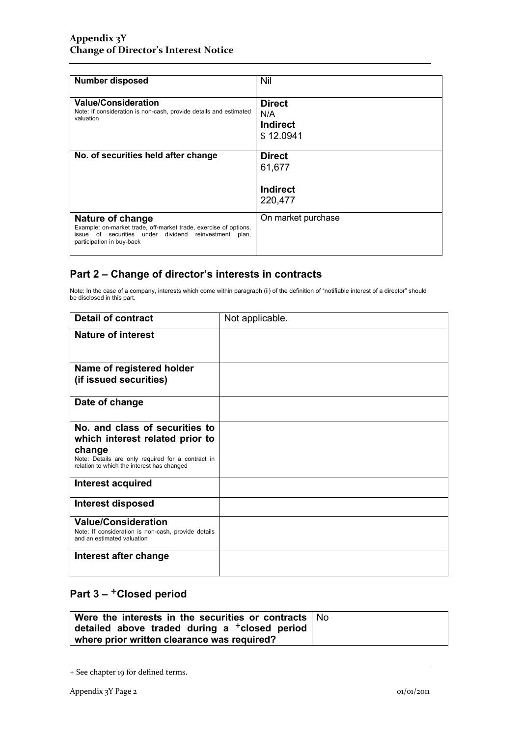| <b>Number disposed</b>                                                                                                                                                        | Nil                                                   |  |
|-------------------------------------------------------------------------------------------------------------------------------------------------------------------------------|-------------------------------------------------------|--|
| <b>Value/Consideration</b><br>Note: If consideration is non-cash, provide details and estimated<br>valuation                                                                  | <b>Direct</b><br>N/A<br><b>Indirect</b><br>\$12.0941  |  |
| No. of securities held after change                                                                                                                                           | <b>Direct</b><br>61,677<br><b>Indirect</b><br>220,477 |  |
| Nature of change<br>Example: on-market trade, off-market trade, exercise of options,<br>issue of securities under dividend reinvestment<br>plan,<br>participation in buy-back | On market purchase                                    |  |

### **Part 2 – Change of director's interests in contracts**

Note: In the case of a company, interests which come within paragraph (ii) of the definition of "notifiable interest of a director" should be disclosed in this part.

| <b>Detail of contract</b>                                                                                 | Not applicable. |
|-----------------------------------------------------------------------------------------------------------|-----------------|
| <b>Nature of interest</b>                                                                                 |                 |
| Name of registered holder                                                                                 |                 |
| (if issued securities)                                                                                    |                 |
| Date of change                                                                                            |                 |
| No. and class of securities to                                                                            |                 |
| which interest related prior to                                                                           |                 |
| change<br>Note: Details are only required for a contract in<br>relation to which the interest has changed |                 |
| Interest acquired                                                                                         |                 |
| Interest disposed                                                                                         |                 |
| <b>Value/Consideration</b>                                                                                |                 |
| Note: If consideration is non-cash, provide details<br>and an estimated valuation                         |                 |
| Interest after change                                                                                     |                 |
|                                                                                                           |                 |

## Part 3 – <sup>+</sup>Closed period

| Were the interests in the securities or contracts $\vert$ No |  |
|--------------------------------------------------------------|--|
| detailed above traded during a $^+$ closed period            |  |
| where prior written clearance was required?                  |  |

<sup>+</sup> See chapter 19 for defined terms.